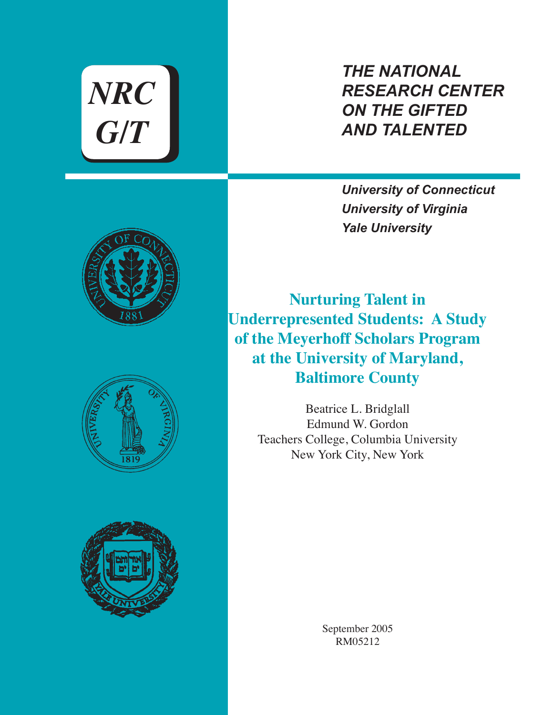*NRC G/T*

*THE NATIONAL RESEARCH CENTER ON THE GIFTED AND TALENTED*

*University of Connecticut University of Virginia Yale University*







**Nurturing Talent in Underrepresented Students: A Study of the Meyerhoff Scholars Program at the University of Maryland, Baltimore County**

> Beatrice L. Bridglall Edmund W. Gordon Teachers College, Columbia University New York City, New York

> > September 2005 RM05212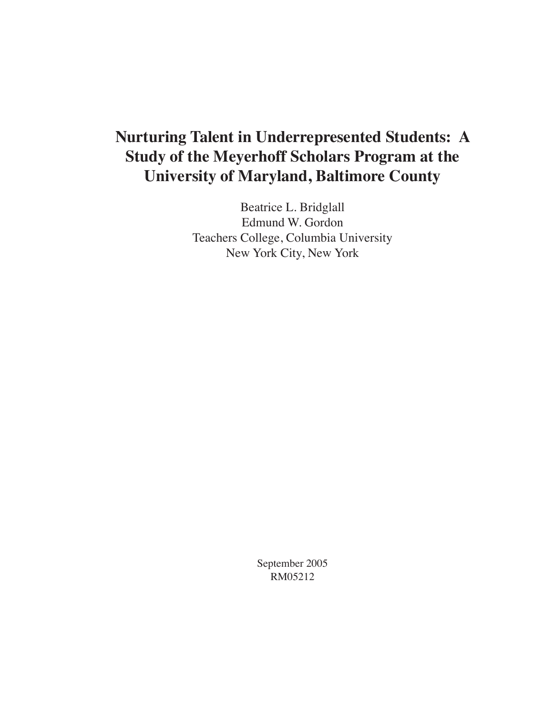# **Nurturing Talent in Underrepresented Students: A Study of the Meyerhoff Scholars Program at the University of Maryland, Baltimore County**

Beatrice L. Bridglall Edmund W. Gordon Teachers College, Columbia University New York City, New York

> September 2005 RM05212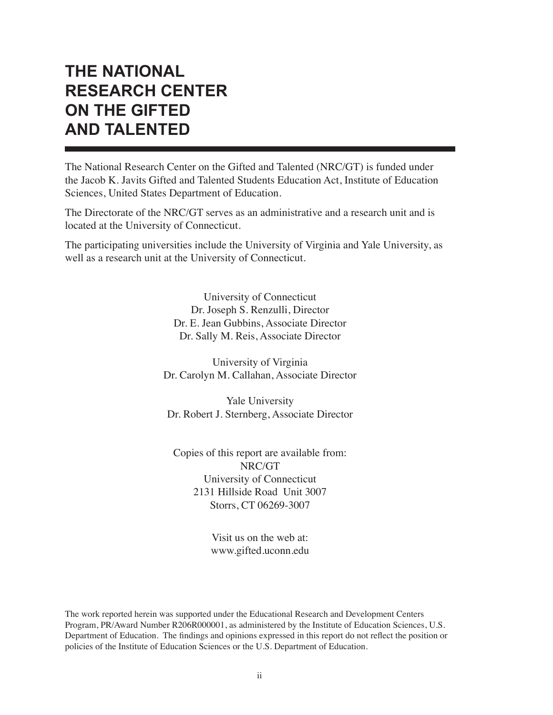# **THE NATIONAL RESEARCH CENTER ON THE GIFTED AND TALENTED**

The National Research Center on the Gifted and Talented (NRC/GT) is funded under the Jacob K. Javits Gifted and Talented Students Education Act, Institute of Education Sciences, United States Department of Education.

The Directorate of the NRC/GT serves as an administrative and a research unit and is located at the University of Connecticut.

The participating universities include the University of Virginia and Yale University, as well as a research unit at the University of Connecticut.

> University of Connecticut Dr. Joseph S. Renzulli, Director Dr. E. Jean Gubbins, Associate Director Dr. Sally M. Reis, Associate Director

University of Virginia Dr. Carolyn M. Callahan, Associate Director

Yale University Dr. Robert J. Sternberg, Associate Director

Copies of this report are available from: NRC/GT University of Connecticut 2131 Hillside Road Unit 3007 Storrs, CT 06269-3007

> Visit us on the web at: www.gifted.uconn.edu

The work reported herein was supported under the Educational Research and Development Centers Program, PR/Award Number R206R000001, as administered by the Institute of Education Sciences, U.S. Department of Education. The findings and opinions expressed in this report do not reflect the position or policies of the Institute of Education Sciences or the U.S. Department of Education.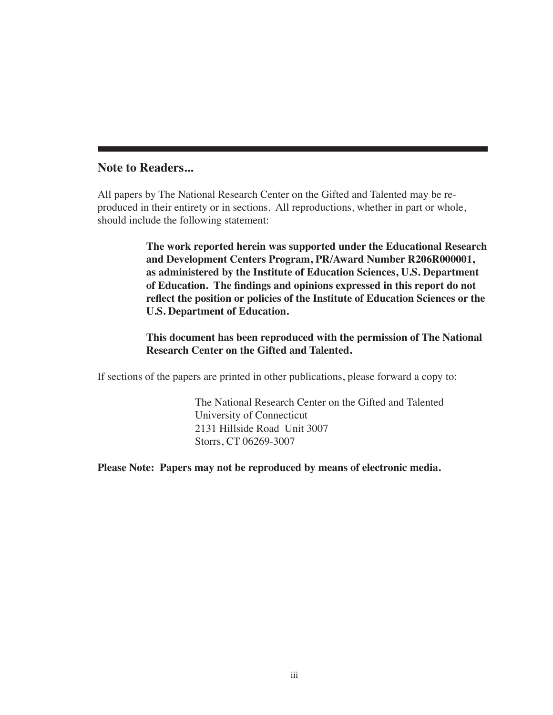## **Note to Readers...**

All papers by The National Research Center on the Gifted and Talented may be reproduced in their entirety or in sections. All reproductions, whether in part or whole, should include the following statement:

> **The work reported herein was supported under the Educational Research and Development Centers Program, PR/Award Number R206R000001, as administered by the Institute of Education Sciences, U.S. Department of Education. The findings and opinions expressed in this report do not reflect the position or policies of the Institute of Education Sciences or the U.S. Department of Education.**

**This document has been reproduced with the permission of The National Research Center on the Gifted and Talented.**

If sections of the papers are printed in other publications, please forward a copy to:

The National Research Center on the Gifted and Talented University of Connecticut 2131 Hillside Road Unit 3007 Storrs, CT 06269-3007

**Please Note: Papers may not be reproduced by means of electronic media.**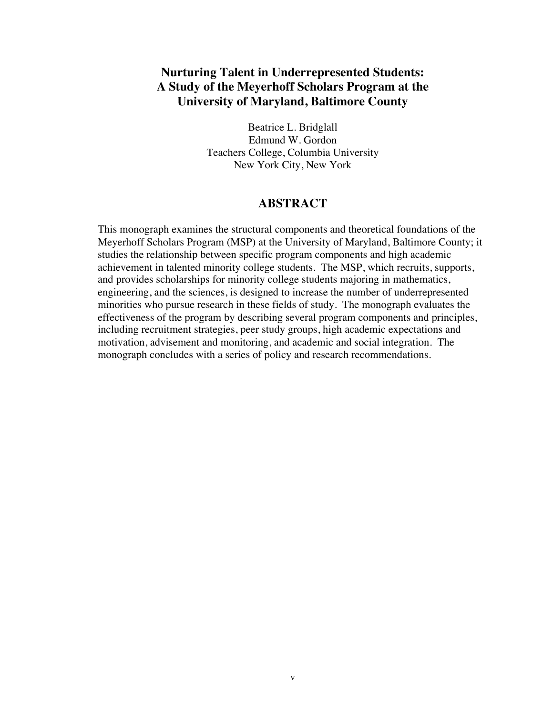# **Nurturing Talent in Underrepresented Students: A Study of the Meyerhoff Scholars Program at the University of Maryland, Baltimore County**

Beatrice L. Bridglall Edmund W. Gordon Teachers College, Columbia University New York City, New York

## **ABSTRACT**

This monograph examines the structural components and theoretical foundations of the Meyerhoff Scholars Program (MSP) at the University of Maryland, Baltimore County; it studies the relationship between specific program components and high academic achievement in talented minority college students. The MSP, which recruits, supports, and provides scholarships for minority college students majoring in mathematics, engineering, and the sciences, is designed to increase the number of underrepresented minorities who pursue research in these fields of study. The monograph evaluates the effectiveness of the program by describing several program components and principles, including recruitment strategies, peer study groups, high academic expectations and motivation, advisement and monitoring, and academic and social integration. The monograph concludes with a series of policy and research recommendations.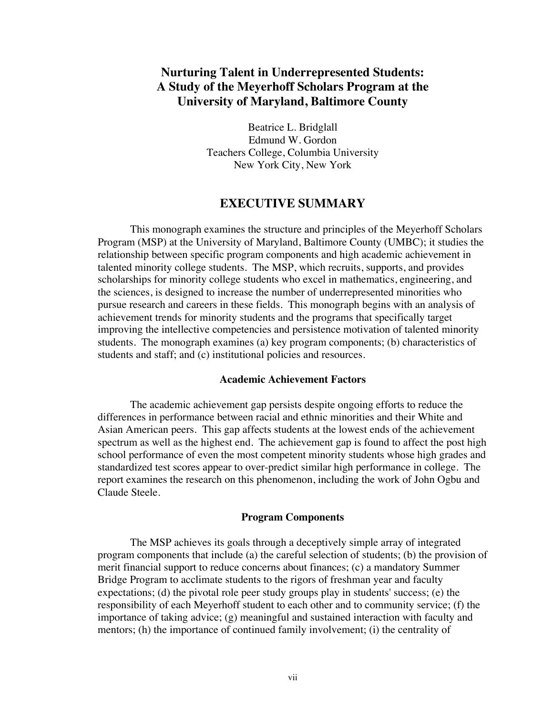# **Nurturing Talent in Underrepresented Students: A Study of the Meyerhoff Scholars Program at the University of Maryland, Baltimore County**

Beatrice L. Bridglall Edmund W. Gordon Teachers College, Columbia University New York City, New York

#### **EXECUTIVE SUMMARY**

This monograph examines the structure and principles of the Meyerhoff Scholars Program (MSP) at the University of Maryland, Baltimore County (UMBC); it studies the relationship between specific program components and high academic achievement in talented minority college students. The MSP, which recruits, supports, and provides scholarships for minority college students who excel in mathematics, engineering, and the sciences, is designed to increase the number of underrepresented minorities who pursue research and careers in these fields. This monograph begins with an analysis of achievement trends for minority students and the programs that specifically target improving the intellective competencies and persistence motivation of talented minority students. The monograph examines (a) key program components; (b) characteristics of students and staff; and (c) institutional policies and resources.

#### **Academic Achievement Factors**

The academic achievement gap persists despite ongoing efforts to reduce the differences in performance between racial and ethnic minorities and their White and Asian American peers. This gap affects students at the lowest ends of the achievement spectrum as well as the highest end. The achievement gap is found to affect the post high school performance of even the most competent minority students whose high grades and standardized test scores appear to over-predict similar high performance in college. The report examines the research on this phenomenon, including the work of John Ogbu and Claude Steele.

#### **Program Components**

The MSP achieves its goals through a deceptively simple array of integrated program components that include (a) the careful selection of students; (b) the provision of merit financial support to reduce concerns about finances; (c) a mandatory Summer Bridge Program to acclimate students to the rigors of freshman year and faculty expectations; (d) the pivotal role peer study groups play in students' success; (e) the responsibility of each Meyerhoff student to each other and to community service; (f) the importance of taking advice; (g) meaningful and sustained interaction with faculty and mentors; (h) the importance of continued family involvement; (i) the centrality of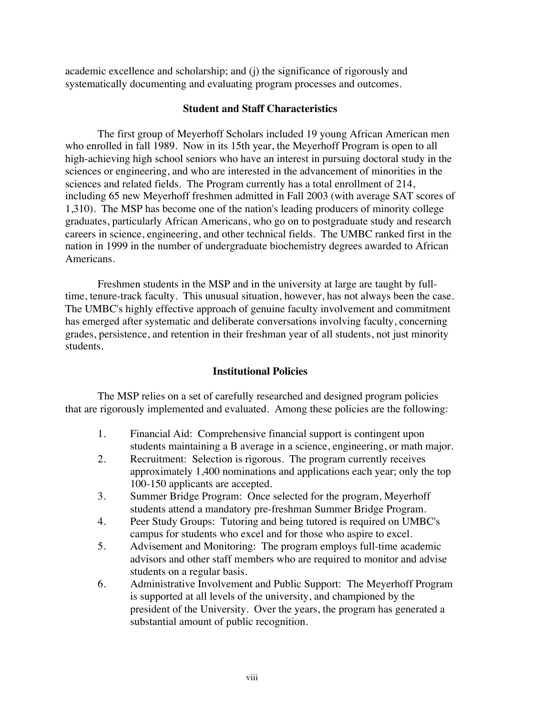academic excellence and scholarship; and (j) the significance of rigorously and systematically documenting and evaluating program processes and outcomes.

#### **Student and Staff Characteristics**

The first group of Meyerhoff Scholars included 19 young African American men who enrolled in fall 1989. Now in its 15th year, the Meyerhoff Program is open to all high-achieving high school seniors who have an interest in pursuing doctoral study in the sciences or engineering, and who are interested in the advancement of minorities in the sciences and related fields. The Program currently has a total enrollment of 214, including 65 new Meyerhoff freshmen admitted in Fall 2003 (with average SAT scores of 1,310). The MSP has become one of the nation's leading producers of minority college graduates, particularly African Americans, who go on to postgraduate study and research careers in science, engineering, and other technical fields. The UMBC ranked first in the nation in 1999 in the number of undergraduate biochemistry degrees awarded to African Americans.

Freshmen students in the MSP and in the university at large are taught by fulltime, tenure-track faculty. This unusual situation, however, has not always been the case. The UMBC's highly effective approach of genuine faculty involvement and commitment has emerged after systematic and deliberate conversations involving faculty, concerning grades, persistence, and retention in their freshman year of all students, not just minority students.

#### **Institutional Policies**

The MSP relies on a set of carefully researched and designed program policies that are rigorously implemented and evaluated. Among these policies are the following:

- 1. Financial Aid: Comprehensive financial support is contingent upon students maintaining a B average in a science, engineering, or math major.
- 2. Recruitment: Selection is rigorous. The program currently receives approximately 1,400 nominations and applications each year; only the top 100-150 applicants are accepted.
- 3. Summer Bridge Program: Once selected for the program, Meyerhoff students attend a mandatory pre-freshman Summer Bridge Program.
- 4. Peer Study Groups: Tutoring and being tutored is required on UMBC's campus for students who excel and for those who aspire to excel.
- 5. Advisement and Monitoring: The program employs full-time academic advisors and other staff members who are required to monitor and advise students on a regular basis.
- 6. Administrative Involvement and Public Support: The Meyerhoff Program is supported at all levels of the university, and championed by the president of the University. Over the years, the program has generated a substantial amount of public recognition.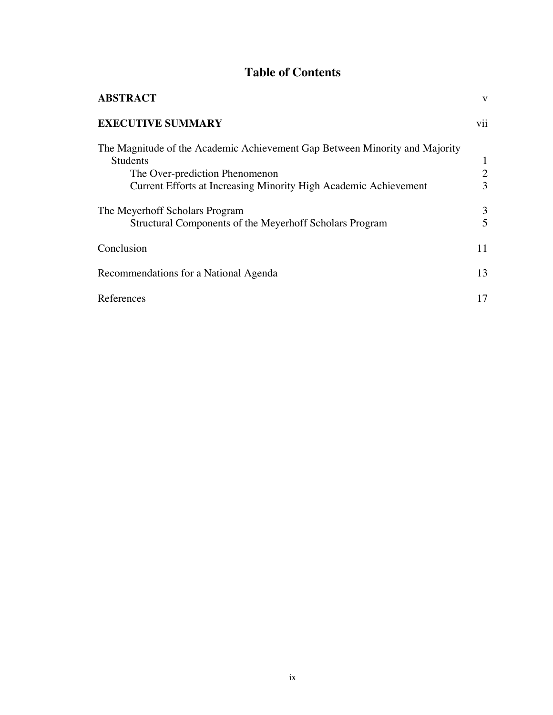# **Table of Contents**

| <b>ABSTRACT</b>                                                                                                                                                                                      | V                   |
|------------------------------------------------------------------------------------------------------------------------------------------------------------------------------------------------------|---------------------|
| <b>EXECUTIVE SUMMARY</b>                                                                                                                                                                             | vii                 |
| The Magnitude of the Academic Achievement Gap Between Minority and Majority<br><b>Students</b><br>The Over-prediction Phenomenon<br>Current Efforts at Increasing Minority High Academic Achievement | $\overline{2}$<br>3 |
| The Meyerhoff Scholars Program<br>Structural Components of the Meyerhoff Scholars Program                                                                                                            | 3<br>5              |
| Conclusion                                                                                                                                                                                           | 11                  |
| Recommendations for a National Agenda                                                                                                                                                                | 13                  |
| References                                                                                                                                                                                           | 17                  |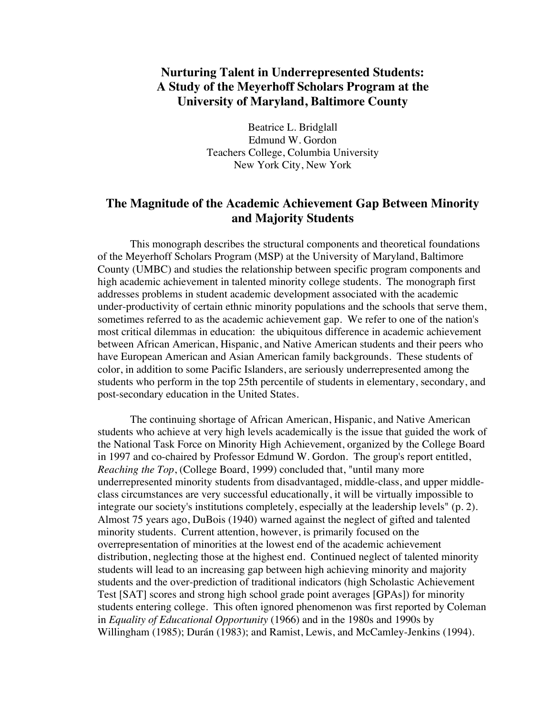# **Nurturing Talent in Underrepresented Students: A Study of the Meyerhoff Scholars Program at the University of Maryland, Baltimore County**

Beatrice L. Bridglall Edmund W. Gordon Teachers College, Columbia University New York City, New York

## **The Magnitude of the Academic Achievement Gap Between Minority and Majority Students**

This monograph describes the structural components and theoretical foundations of the Meyerhoff Scholars Program (MSP) at the University of Maryland, Baltimore County (UMBC) and studies the relationship between specific program components and high academic achievement in talented minority college students. The monograph first addresses problems in student academic development associated with the academic under-productivity of certain ethnic minority populations and the schools that serve them, sometimes referred to as the academic achievement gap. We refer to one of the nation's most critical dilemmas in education: the ubiquitous difference in academic achievement between African American, Hispanic, and Native American students and their peers who have European American and Asian American family backgrounds. These students of color, in addition to some Pacific Islanders, are seriously underrepresented among the students who perform in the top 25th percentile of students in elementary, secondary, and post-secondary education in the United States.

The continuing shortage of African American, Hispanic, and Native American students who achieve at very high levels academically is the issue that guided the work of the National Task Force on Minority High Achievement, organized by the College Board in 1997 and co-chaired by Professor Edmund W. Gordon. The group's report entitled, *Reaching the Top*, (College Board, 1999) concluded that, "until many more underrepresented minority students from disadvantaged, middle-class, and upper middleclass circumstances are very successful educationally, it will be virtually impossible to integrate our society's institutions completely, especially at the leadership levels" (p. 2). Almost 75 years ago, DuBois (1940) warned against the neglect of gifted and talented minority students. Current attention, however, is primarily focused on the overrepresentation of minorities at the lowest end of the academic achievement distribution, neglecting those at the highest end. Continued neglect of talented minority students will lead to an increasing gap between high achieving minority and majority students and the over-prediction of traditional indicators (high Scholastic Achievement Test [SAT] scores and strong high school grade point averages [GPAs]) for minority students entering college. This often ignored phenomenon was first reported by Coleman in *Equality of Educational Opportunity* (1966) and in the 1980s and 1990s by Willingham (1985); Durán (1983); and Ramist, Lewis, and McCamley-Jenkins (1994).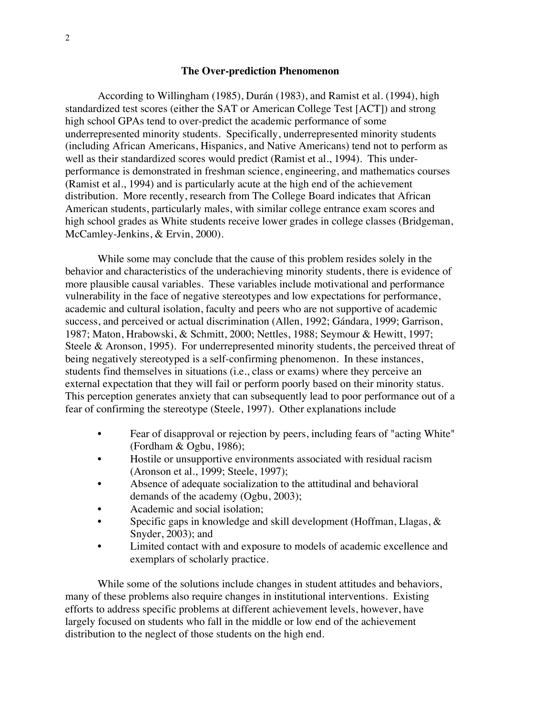#### **The Over-prediction Phenomenon**

According to Willingham (1985), Durán (1983), and Ramist et al. (1994), high standardized test scores (either the SAT or American College Test [ACT]) and strong high school GPAs tend to over-predict the academic performance of some underrepresented minority students. Specifically, underrepresented minority students (including African Americans, Hispanics, and Native Americans) tend not to perform as well as their standardized scores would predict (Ramist et al., 1994). This underperformance is demonstrated in freshman science, engineering, and mathematics courses (Ramist et al., 1994) and is particularly acute at the high end of the achievement distribution. More recently, research from The College Board indicates that African American students, particularly males, with similar college entrance exam scores and high school grades as White students receive lower grades in college classes (Bridgeman, McCamley-Jenkins, & Ervin, 2000).

While some may conclude that the cause of this problem resides solely in the behavior and characteristics of the underachieving minority students, there is evidence of more plausible causal variables. These variables include motivational and performance vulnerability in the face of negative stereotypes and low expectations for performance, academic and cultural isolation, faculty and peers who are not supportive of academic success, and perceived or actual discrimination (Allen, 1992; Gándara, 1999; Garrison, 1987; Maton, Hrabowski, & Schmitt, 2000; Nettles, 1988; Seymour & Hewitt, 1997; Steele & Aronson, 1995). For underrepresented minority students, the perceived threat of being negatively stereotyped is a self-confirming phenomenon. In these instances, students find themselves in situations (i.e., class or exams) where they perceive an external expectation that they will fail or perform poorly based on their minority status. This perception generates anxiety that can subsequently lead to poor performance out of a fear of confirming the stereotype (Steele, 1997). Other explanations include

- Fear of disapproval or rejection by peers, including fears of "acting White" (Fordham & Ogbu, 1986);
- Hostile or unsupportive environments associated with residual racism (Aronson et al., 1999; Steele, 1997);
- Absence of adequate socialization to the attitudinal and behavioral demands of the academy (Ogbu, 2003);
- Academic and social isolation;
- Specific gaps in knowledge and skill development (Hoffman, Llagas, & Snyder, 2003); and
- Limited contact with and exposure to models of academic excellence and exemplars of scholarly practice.

While some of the solutions include changes in student attitudes and behaviors, many of these problems also require changes in institutional interventions. Existing efforts to address specific problems at different achievement levels, however, have largely focused on students who fall in the middle or low end of the achievement distribution to the neglect of those students on the high end.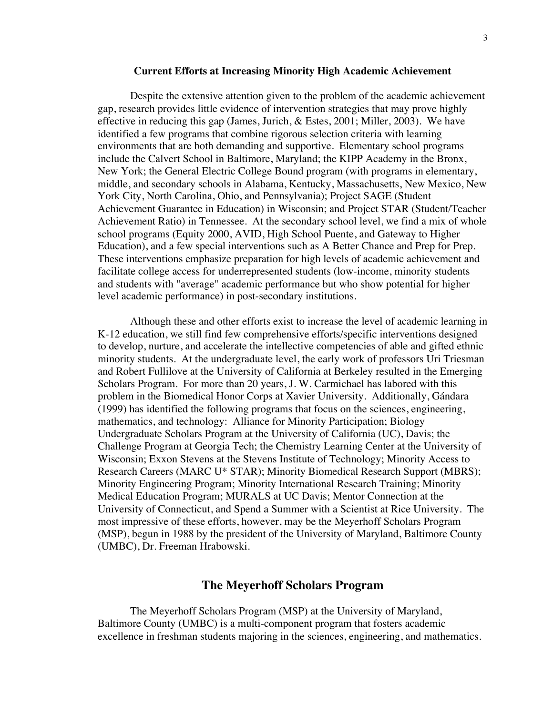#### **Current Efforts at Increasing Minority High Academic Achievement**

Despite the extensive attention given to the problem of the academic achievement gap, research provides little evidence of intervention strategies that may prove highly effective in reducing this gap (James, Jurich, & Estes, 2001; Miller, 2003). We have identified a few programs that combine rigorous selection criteria with learning environments that are both demanding and supportive. Elementary school programs include the Calvert School in Baltimore, Maryland; the KIPP Academy in the Bronx, New York; the General Electric College Bound program (with programs in elementary, middle, and secondary schools in Alabama, Kentucky, Massachusetts, New Mexico, New York City, North Carolina, Ohio, and Pennsylvania); Project SAGE (Student Achievement Guarantee in Education) in Wisconsin; and Project STAR (Student/Teacher Achievement Ratio) in Tennessee. At the secondary school level, we find a mix of whole school programs (Equity 2000, AVID, High School Puente, and Gateway to Higher Education), and a few special interventions such as A Better Chance and Prep for Prep. These interventions emphasize preparation for high levels of academic achievement and facilitate college access for underrepresented students (low-income, minority students and students with "average" academic performance but who show potential for higher level academic performance) in post-secondary institutions.

Although these and other efforts exist to increase the level of academic learning in K-12 education, we still find few comprehensive efforts/specific interventions designed to develop, nurture, and accelerate the intellective competencies of able and gifted ethnic minority students. At the undergraduate level, the early work of professors Uri Triesman and Robert Fullilove at the University of California at Berkeley resulted in the Emerging Scholars Program. For more than 20 years, J. W. Carmichael has labored with this problem in the Biomedical Honor Corps at Xavier University. Additionally, Gándara (1999) has identified the following programs that focus on the sciences, engineering, mathematics, and technology: Alliance for Minority Participation; Biology Undergraduate Scholars Program at the University of California (UC), Davis; the Challenge Program at Georgia Tech; the Chemistry Learning Center at the University of Wisconsin; Exxon Stevens at the Stevens Institute of Technology; Minority Access to Research Careers (MARC U\* STAR); Minority Biomedical Research Support (MBRS); Minority Engineering Program; Minority International Research Training; Minority Medical Education Program; MURALS at UC Davis; Mentor Connection at the University of Connecticut, and Spend a Summer with a Scientist at Rice University. The most impressive of these efforts, however, may be the Meyerhoff Scholars Program (MSP), begun in 1988 by the president of the University of Maryland, Baltimore County (UMBC), Dr. Freeman Hrabowski.

### **The Meyerhoff Scholars Program**

The Meyerhoff Scholars Program (MSP) at the University of Maryland, Baltimore County (UMBC) is a multi-component program that fosters academic excellence in freshman students majoring in the sciences, engineering, and mathematics.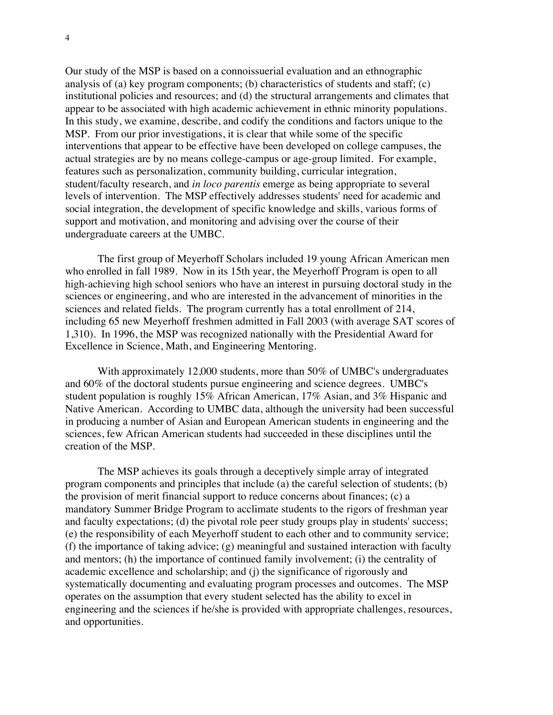Our study of the MSP is based on a connoissuerial evaluation and an ethnographic analysis of (a) key program components; (b) characteristics of students and staff; (c) institutional policies and resources; and (d) the structural arrangements and climates that appear to be associated with high academic achievement in ethnic minority populations. In this study, we examine, describe, and codify the conditions and factors unique to the MSP. From our prior investigations, it is clear that while some of the specific interventions that appear to be effective have been developed on college campuses, the actual strategies are by no means college-campus or age-group limited. For example, features such as personalization, community building, curricular integration, student/faculty research, and *in loco parentis* emerge as being appropriate to several levels of intervention. The MSP effectively addresses students' need for academic and social integration, the development of specific knowledge and skills, various forms of support and motivation, and monitoring and advising over the course of their undergraduate careers at the UMBC.

The first group of Meyerhoff Scholars included 19 young African American men who enrolled in fall 1989. Now in its 15th year, the Meyerhoff Program is open to all high-achieving high school seniors who have an interest in pursuing doctoral study in the sciences or engineering, and who are interested in the advancement of minorities in the sciences and related fields. The program currently has a total enrollment of 214, including 65 new Meyerhoff freshmen admitted in Fall 2003 (with average SAT scores of 1,310). In 1996, the MSP was recognized nationally with the Presidential Award for Excellence in Science, Math, and Engineering Mentoring.

With approximately 12,000 students, more than 50% of UMBC's undergraduates and 60% of the doctoral students pursue engineering and science degrees. UMBC's student population is roughly 15% African American, 17% Asian, and 3% Hispanic and Native American. According to UMBC data, although the university had been successful in producing a number of Asian and European American students in engineering and the sciences, few African American students had succeeded in these disciplines until the creation of the MSP.

The MSP achieves its goals through a deceptively simple array of integrated program components and principles that include (a) the careful selection of students; (b) the provision of merit financial support to reduce concerns about finances; (c) a mandatory Summer Bridge Program to acclimate students to the rigors of freshman year and faculty expectations; (d) the pivotal role peer study groups play in students' success; (e) the responsibility of each Meyerhoff student to each other and to community service; (f) the importance of taking advice; (g) meaningful and sustained interaction with faculty and mentors; (h) the importance of continued family involvement; (i) the centrality of academic excellence and scholarship; and (j) the significance of rigorously and systematically documenting and evaluating program processes and outcomes. The MSP operates on the assumption that every student selected has the ability to excel in engineering and the sciences if he/she is provided with appropriate challenges, resources, and opportunities.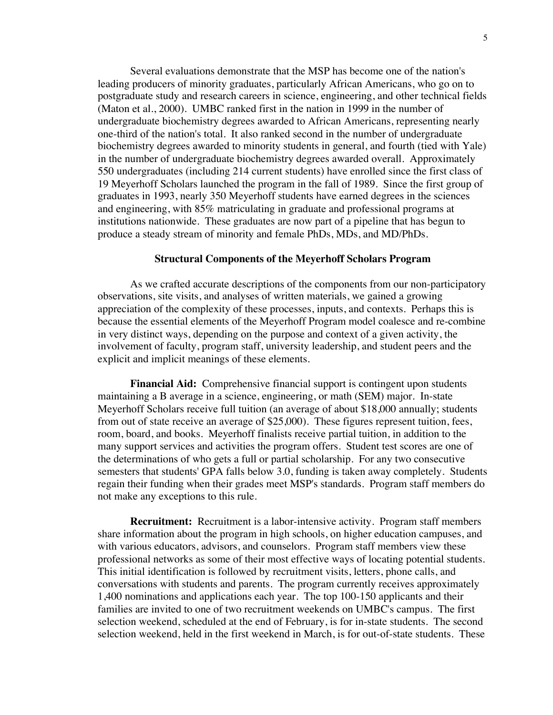Several evaluations demonstrate that the MSP has become one of the nation's leading producers of minority graduates, particularly African Americans, who go on to postgraduate study and research careers in science, engineering, and other technical fields (Maton et al., 2000). UMBC ranked first in the nation in 1999 in the number of undergraduate biochemistry degrees awarded to African Americans, representing nearly one-third of the nation's total. It also ranked second in the number of undergraduate biochemistry degrees awarded to minority students in general, and fourth (tied with Yale) in the number of undergraduate biochemistry degrees awarded overall. Approximately 550 undergraduates (including 214 current students) have enrolled since the first class of 19 Meyerhoff Scholars launched the program in the fall of 1989. Since the first group of graduates in 1993, nearly 350 Meyerhoff students have earned degrees in the sciences and engineering, with 85% matriculating in graduate and professional programs at institutions nationwide. These graduates are now part of a pipeline that has begun to produce a steady stream of minority and female PhDs, MDs, and MD/PhDs.

#### **Structural Components of the Meyerhoff Scholars Program**

As we crafted accurate descriptions of the components from our non-participatory observations, site visits, and analyses of written materials, we gained a growing appreciation of the complexity of these processes, inputs, and contexts. Perhaps this is because the essential elements of the Meyerhoff Program model coalesce and re-combine in very distinct ways, depending on the purpose and context of a given activity, the involvement of faculty, program staff, university leadership, and student peers and the explicit and implicit meanings of these elements.

**Financial Aid:** Comprehensive financial support is contingent upon students maintaining a B average in a science, engineering, or math (SEM) major. In-state Meyerhoff Scholars receive full tuition (an average of about \$18,000 annually; students from out of state receive an average of \$25,000). These figures represent tuition, fees, room, board, and books. Meyerhoff finalists receive partial tuition, in addition to the many support services and activities the program offers. Student test scores are one of the determinations of who gets a full or partial scholarship. For any two consecutive semesters that students' GPA falls below 3.0, funding is taken away completely. Students regain their funding when their grades meet MSP's standards. Program staff members do not make any exceptions to this rule.

**Recruitment:** Recruitment is a labor-intensive activity. Program staff members share information about the program in high schools, on higher education campuses, and with various educators, advisors, and counselors. Program staff members view these professional networks as some of their most effective ways of locating potential students. This initial identification is followed by recruitment visits, letters, phone calls, and conversations with students and parents. The program currently receives approximately 1,400 nominations and applications each year. The top 100-150 applicants and their families are invited to one of two recruitment weekends on UMBC's campus. The first selection weekend, scheduled at the end of February, is for in-state students. The second selection weekend, held in the first weekend in March, is for out-of-state students. These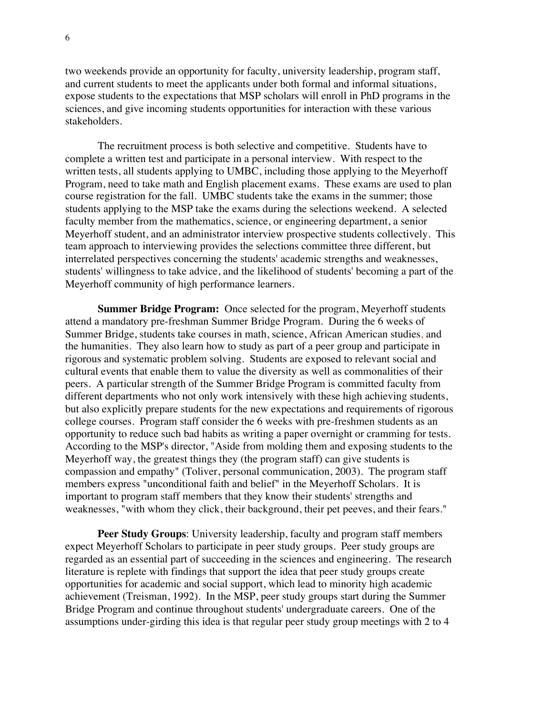two weekends provide an opportunity for faculty, university leadership, program staff, and current students to meet the applicants under both formal and informal situations, expose students to the expectations that MSP scholars will enroll in PhD programs in the sciences, and give incoming students opportunities for interaction with these various stakeholders.

The recruitment process is both selective and competitive. Students have to complete a written test and participate in a personal interview. With respect to the written tests, all students applying to UMBC, including those applying to the Meyerhoff Program, need to take math and English placement exams. These exams are used to plan course registration for the fall. UMBC students take the exams in the summer; those students applying to the MSP take the exams during the selections weekend. A selected faculty member from the mathematics, science, or engineering department, a senior Meyerhoff student, and an administrator interview prospective students collectively. This team approach to interviewing provides the selections committee three different, but interrelated perspectives concerning the students' academic strengths and weaknesses, students' willingness to take advice, and the likelihood of students' becoming a part of the Meyerhoff community of high performance learners.

**Summer Bridge Program:** Once selected for the program, Meyerhoff students attend a mandatory pre-freshman Summer Bridge Program. During the 6 weeks of Summer Bridge, students take courses in math, science, African American studies, and the humanities. They also learn how to study as part of a peer group and participate in rigorous and systematic problem solving. Students are exposed to relevant social and cultural events that enable them to value the diversity as well as commonalities of their peers. A particular strength of the Summer Bridge Program is committed faculty from different departments who not only work intensively with these high achieving students, but also explicitly prepare students for the new expectations and requirements of rigorous college courses. Program staff consider the 6 weeks with pre-freshmen students as an opportunity to reduce such bad habits as writing a paper overnight or cramming for tests. According to the MSP's director, "Aside from molding them and exposing students to the Meyerhoff way, the greatest things they (the program staff) can give students is compassion and empathy" (Toliver, personal communication, 2003). The program staff members express "unconditional faith and belief" in the Meyerhoff Scholars. It is important to program staff members that they know their students' strengths and weaknesses, "with whom they click, their background, their pet peeves, and their fears."

**Peer Study Groups**: University leadership, faculty and program staff members expect Meyerhoff Scholars to participate in peer study groups. Peer study groups are regarded as an essential part of succeeding in the sciences and engineering. The research literature is replete with findings that support the idea that peer study groups create opportunities for academic and social support, which lead to minority high academic achievement (Treisman, 1992). In the MSP, peer study groups start during the Summer Bridge Program and continue throughout students' undergraduate careers. One of the assumptions under-girding this idea is that regular peer study group meetings with 2 to 4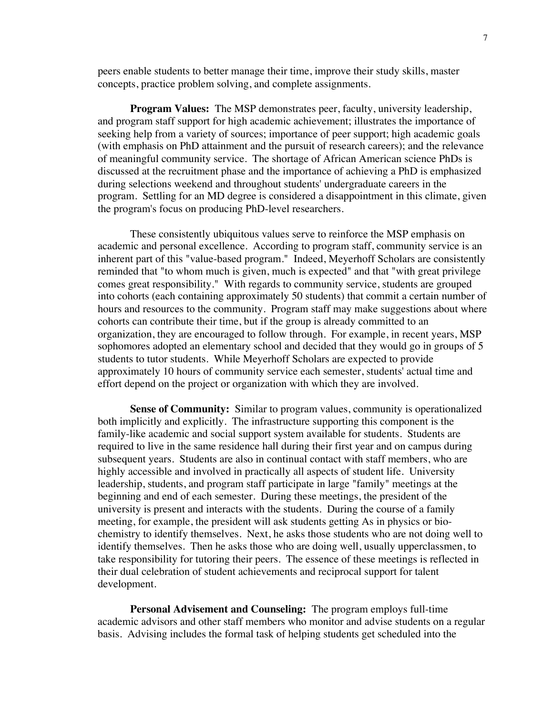peers enable students to better manage their time, improve their study skills, master concepts, practice problem solving, and complete assignments.

**Program Values:** The MSP demonstrates peer, faculty, university leadership, and program staff support for high academic achievement; illustrates the importance of seeking help from a variety of sources; importance of peer support; high academic goals (with emphasis on PhD attainment and the pursuit of research careers); and the relevance of meaningful community service. The shortage of African American science PhDs is discussed at the recruitment phase and the importance of achieving a PhD is emphasized during selections weekend and throughout students' undergraduate careers in the program. Settling for an MD degree is considered a disappointment in this climate, given the program's focus on producing PhD-level researchers.

These consistently ubiquitous values serve to reinforce the MSP emphasis on academic and personal excellence. According to program staff, community service is an inherent part of this "value-based program." Indeed, Meyerhoff Scholars are consistently reminded that "to whom much is given, much is expected" and that "with great privilege comes great responsibility." With regards to community service, students are grouped into cohorts (each containing approximately 50 students) that commit a certain number of hours and resources to the community. Program staff may make suggestions about where cohorts can contribute their time, but if the group is already committed to an organization, they are encouraged to follow through. For example, in recent years, MSP sophomores adopted an elementary school and decided that they would go in groups of 5 students to tutor students. While Meyerhoff Scholars are expected to provide approximately 10 hours of community service each semester, students' actual time and effort depend on the project or organization with which they are involved.

**Sense of Community:** Similar to program values, community is operationalized both implicitly and explicitly. The infrastructure supporting this component is the family-like academic and social support system available for students. Students are required to live in the same residence hall during their first year and on campus during subsequent years. Students are also in continual contact with staff members, who are highly accessible and involved in practically all aspects of student life. University leadership, students, and program staff participate in large "family" meetings at the beginning and end of each semester. During these meetings, the president of the university is present and interacts with the students. During the course of a family meeting, for example, the president will ask students getting As in physics or biochemistry to identify themselves. Next, he asks those students who are not doing well to identify themselves. Then he asks those who are doing well, usually upperclassmen, to take responsibility for tutoring their peers. The essence of these meetings is reflected in their dual celebration of student achievements and reciprocal support for talent development.

**Personal Advisement and Counseling:** The program employs full-time academic advisors and other staff members who monitor and advise students on a regular basis. Advising includes the formal task of helping students get scheduled into the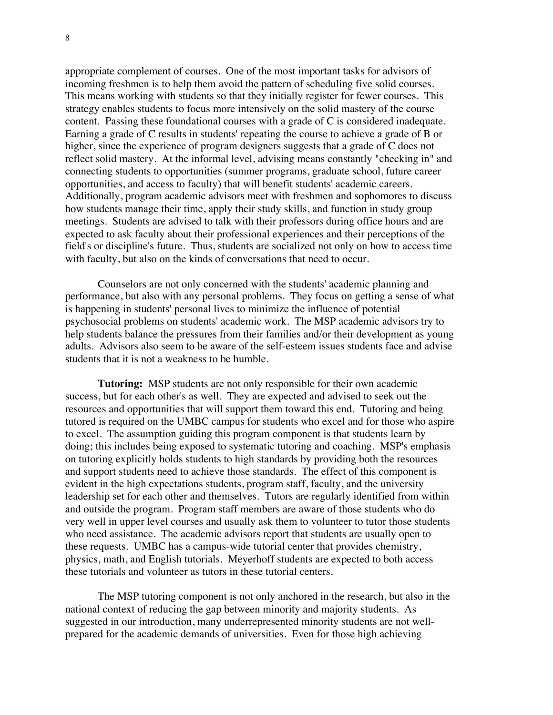appropriate complement of courses. One of the most important tasks for advisors of incoming freshmen is to help them avoid the pattern of scheduling five solid courses. This means working with students so that they initially register for fewer courses. This strategy enables students to focus more intensively on the solid mastery of the course content. Passing these foundational courses with a grade of C is considered inadequate. Earning a grade of C results in students' repeating the course to achieve a grade of B or higher, since the experience of program designers suggests that a grade of C does not reflect solid mastery. At the informal level, advising means constantly "checking in" and connecting students to opportunities (summer programs, graduate school, future career opportunities, and access to faculty) that will benefit students' academic careers. Additionally, program academic advisors meet with freshmen and sophomores to discuss how students manage their time, apply their study skills, and function in study group meetings. Students are advised to talk with their professors during office hours and are expected to ask faculty about their professional experiences and their perceptions of the field's or discipline's future. Thus, students are socialized not only on how to access time with faculty, but also on the kinds of conversations that need to occur.

Counselors are not only concerned with the students' academic planning and performance, but also with any personal problems. They focus on getting a sense of what is happening in students' personal lives to minimize the influence of potential psychosocial problems on students' academic work. The MSP academic advisors try to help students balance the pressures from their families and/or their development as young adults. Advisors also seem to be aware of the self-esteem issues students face and advise students that it is not a weakness to be humble.

**Tutoring:** MSP students are not only responsible for their own academic success, but for each other's as well. They are expected and advised to seek out the resources and opportunities that will support them toward this end. Tutoring and being tutored is required on the UMBC campus for students who excel and for those who aspire to excel. The assumption guiding this program component is that students learn by doing; this includes being exposed to systematic tutoring and coaching. MSP's emphasis on tutoring explicitly holds students to high standards by providing both the resources and support students need to achieve those standards. The effect of this component is evident in the high expectations students, program staff, faculty, and the university leadership set for each other and themselves. Tutors are regularly identified from within and outside the program. Program staff members are aware of those students who do very well in upper level courses and usually ask them to volunteer to tutor those students who need assistance. The academic advisors report that students are usually open to these requests. UMBC has a campus-wide tutorial center that provides chemistry, physics, math, and English tutorials. Meyerhoff students are expected to both access these tutorials and volunteer as tutors in these tutorial centers.

The MSP tutoring component is not only anchored in the research, but also in the national context of reducing the gap between minority and majority students. As suggested in our introduction, many underrepresented minority students are not wellprepared for the academic demands of universities. Even for those high achieving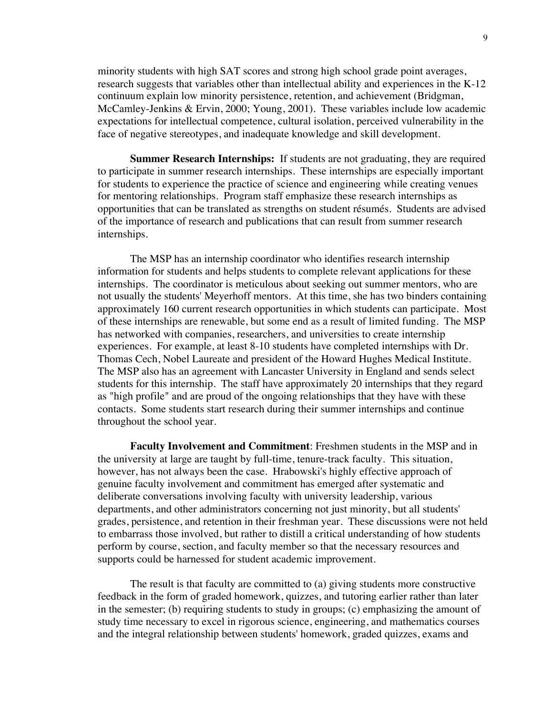minority students with high SAT scores and strong high school grade point averages, research suggests that variables other than intellectual ability and experiences in the K-12 continuum explain low minority persistence, retention, and achievement (Bridgman, McCamley-Jenkins & Ervin, 2000; Young, 2001). These variables include low academic expectations for intellectual competence, cultural isolation, perceived vulnerability in the face of negative stereotypes, and inadequate knowledge and skill development.

**Summer Research Internships:** If students are not graduating, they are required to participate in summer research internships. These internships are especially important for students to experience the practice of science and engineering while creating venues for mentoring relationships. Program staff emphasize these research internships as opportunities that can be translated as strengths on student résumés. Students are advised of the importance of research and publications that can result from summer research internships.

The MSP has an internship coordinator who identifies research internship information for students and helps students to complete relevant applications for these internships. The coordinator is meticulous about seeking out summer mentors, who are not usually the students' Meyerhoff mentors. At this time, she has two binders containing approximately 160 current research opportunities in which students can participate. Most of these internships are renewable, but some end as a result of limited funding. The MSP has networked with companies, researchers, and universities to create internship experiences. For example, at least 8-10 students have completed internships with Dr. Thomas Cech, Nobel Laureate and president of the Howard Hughes Medical Institute. The MSP also has an agreement with Lancaster University in England and sends select students for this internship. The staff have approximately 20 internships that they regard as "high profile" and are proud of the ongoing relationships that they have with these contacts. Some students start research during their summer internships and continue throughout the school year.

**Faculty Involvement and Commitment**: Freshmen students in the MSP and in the university at large are taught by full-time, tenure-track faculty. This situation, however, has not always been the case. Hrabowski's highly effective approach of genuine faculty involvement and commitment has emerged after systematic and deliberate conversations involving faculty with university leadership, various departments, and other administrators concerning not just minority, but all students' grades, persistence, and retention in their freshman year. These discussions were not held to embarrass those involved, but rather to distill a critical understanding of how students perform by course, section, and faculty member so that the necessary resources and supports could be harnessed for student academic improvement.

The result is that faculty are committed to (a) giving students more constructive feedback in the form of graded homework, quizzes, and tutoring earlier rather than later in the semester; (b) requiring students to study in groups; (c) emphasizing the amount of study time necessary to excel in rigorous science, engineering, and mathematics courses and the integral relationship between students' homework, graded quizzes, exams and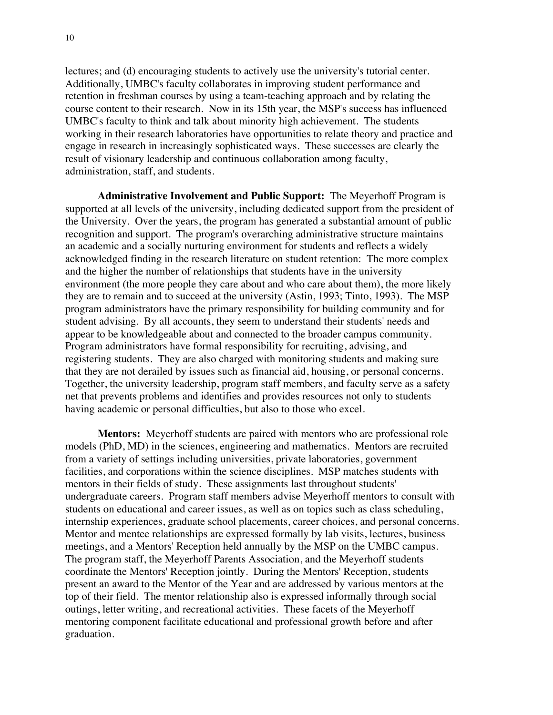lectures; and (d) encouraging students to actively use the university's tutorial center. Additionally, UMBC's faculty collaborates in improving student performance and retention in freshman courses by using a team-teaching approach and by relating the course content to their research. Now in its 15th year, the MSP's success has influenced UMBC's faculty to think and talk about minority high achievement. The students working in their research laboratories have opportunities to relate theory and practice and engage in research in increasingly sophisticated ways. These successes are clearly the result of visionary leadership and continuous collaboration among faculty, administration, staff, and students.

**Administrative Involvement and Public Support:** The Meyerhoff Program is supported at all levels of the university, including dedicated support from the president of the University. Over the years, the program has generated a substantial amount of public recognition and support. The program's overarching administrative structure maintains an academic and a socially nurturing environment for students and reflects a widely acknowledged finding in the research literature on student retention: The more complex and the higher the number of relationships that students have in the university environment (the more people they care about and who care about them), the more likely they are to remain and to succeed at the university (Astin, 1993; Tinto, 1993). The MSP program administrators have the primary responsibility for building community and for student advising. By all accounts, they seem to understand their students' needs and appear to be knowledgeable about and connected to the broader campus community. Program administrators have formal responsibility for recruiting, advising, and registering students. They are also charged with monitoring students and making sure that they are not derailed by issues such as financial aid, housing, or personal concerns. Together, the university leadership, program staff members, and faculty serve as a safety net that prevents problems and identifies and provides resources not only to students having academic or personal difficulties, but also to those who excel.

**Mentors:** Meyerhoff students are paired with mentors who are professional role models (PhD, MD) in the sciences, engineering and mathematics. Mentors are recruited from a variety of settings including universities, private laboratories, government facilities, and corporations within the science disciplines. MSP matches students with mentors in their fields of study. These assignments last throughout students' undergraduate careers. Program staff members advise Meyerhoff mentors to consult with students on educational and career issues, as well as on topics such as class scheduling, internship experiences, graduate school placements, career choices, and personal concerns. Mentor and mentee relationships are expressed formally by lab visits, lectures, business meetings, and a Mentors' Reception held annually by the MSP on the UMBC campus. The program staff, the Meyerhoff Parents Association, and the Meyerhoff students coordinate the Mentors' Reception jointly. During the Mentors' Reception, students present an award to the Mentor of the Year and are addressed by various mentors at the top of their field. The mentor relationship also is expressed informally through social outings, letter writing, and recreational activities. These facets of the Meyerhoff mentoring component facilitate educational and professional growth before and after graduation.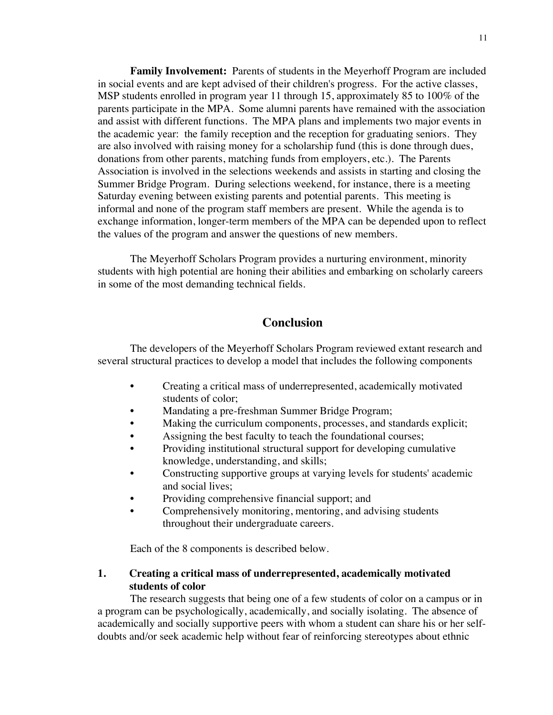**Family Involvement:** Parents of students in the Meyerhoff Program are included in social events and are kept advised of their children's progress. For the active classes, MSP students enrolled in program year 11 through 15, approximately 85 to 100% of the parents participate in the MPA. Some alumni parents have remained with the association and assist with different functions. The MPA plans and implements two major events in the academic year: the family reception and the reception for graduating seniors. They are also involved with raising money for a scholarship fund (this is done through dues, donations from other parents, matching funds from employers, etc.). The Parents Association is involved in the selections weekends and assists in starting and closing the Summer Bridge Program. During selections weekend, for instance, there is a meeting Saturday evening between existing parents and potential parents. This meeting is informal and none of the program staff members are present. While the agenda is to exchange information, longer-term members of the MPA can be depended upon to reflect the values of the program and answer the questions of new members.

The Meyerhoff Scholars Program provides a nurturing environment, minority students with high potential are honing their abilities and embarking on scholarly careers in some of the most demanding technical fields.

### **Conclusion**

The developers of the Meyerhoff Scholars Program reviewed extant research and several structural practices to develop a model that includes the following components

- Creating a critical mass of underrepresented, academically motivated students of color;
- Mandating a pre-freshman Summer Bridge Program;
- Making the curriculum components, processes, and standards explicit;
- Assigning the best faculty to teach the foundational courses;
- Providing institutional structural support for developing cumulative knowledge, understanding, and skills;
- Constructing supportive groups at varying levels for students' academic and social lives;
- Providing comprehensive financial support; and
- Comprehensively monitoring, mentoring, and advising students throughout their undergraduate careers.

Each of the 8 components is described below.

### **1. Creating a critical mass of underrepresented, academically motivated students of color**

The research suggests that being one of a few students of color on a campus or in a program can be psychologically, academically, and socially isolating. The absence of academically and socially supportive peers with whom a student can share his or her selfdoubts and/or seek academic help without fear of reinforcing stereotypes about ethnic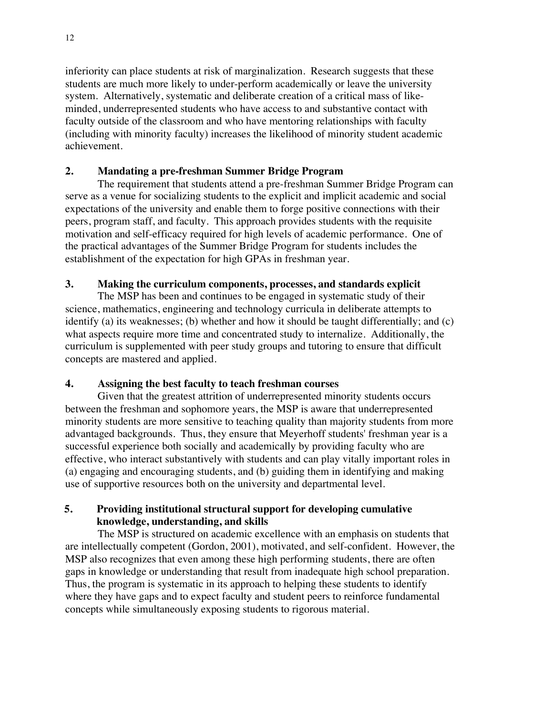inferiority can place students at risk of marginalization. Research suggests that these students are much more likely to under-perform academically or leave the university system. Alternatively, systematic and deliberate creation of a critical mass of likeminded, underrepresented students who have access to and substantive contact with faculty outside of the classroom and who have mentoring relationships with faculty (including with minority faculty) increases the likelihood of minority student academic achievement.

### **2. Mandating a pre-freshman Summer Bridge Program**

The requirement that students attend a pre-freshman Summer Bridge Program can serve as a venue for socializing students to the explicit and implicit academic and social expectations of the university and enable them to forge positive connections with their peers, program staff, and faculty. This approach provides students with the requisite motivation and self-efficacy required for high levels of academic performance. One of the practical advantages of the Summer Bridge Program for students includes the establishment of the expectation for high GPAs in freshman year.

### **3. Making the curriculum components, processes, and standards explicit**

The MSP has been and continues to be engaged in systematic study of their science, mathematics, engineering and technology curricula in deliberate attempts to identify (a) its weaknesses; (b) whether and how it should be taught differentially; and (c) what aspects require more time and concentrated study to internalize. Additionally, the curriculum is supplemented with peer study groups and tutoring to ensure that difficult concepts are mastered and applied.

## **4. Assigning the best faculty to teach freshman courses**

Given that the greatest attrition of underrepresented minority students occurs between the freshman and sophomore years, the MSP is aware that underrepresented minority students are more sensitive to teaching quality than majority students from more advantaged backgrounds. Thus, they ensure that Meyerhoff students' freshman year is a successful experience both socially and academically by providing faculty who are effective, who interact substantively with students and can play vitally important roles in (a) engaging and encouraging students, and (b) guiding them in identifying and making use of supportive resources both on the university and departmental level.

### **5. Providing institutional structural support for developing cumulative knowledge, understanding, and skills**

The MSP is structured on academic excellence with an emphasis on students that are intellectually competent (Gordon, 2001), motivated, and self-confident. However, the MSP also recognizes that even among these high performing students, there are often gaps in knowledge or understanding that result from inadequate high school preparation. Thus, the program is systematic in its approach to helping these students to identify where they have gaps and to expect faculty and student peers to reinforce fundamental concepts while simultaneously exposing students to rigorous material.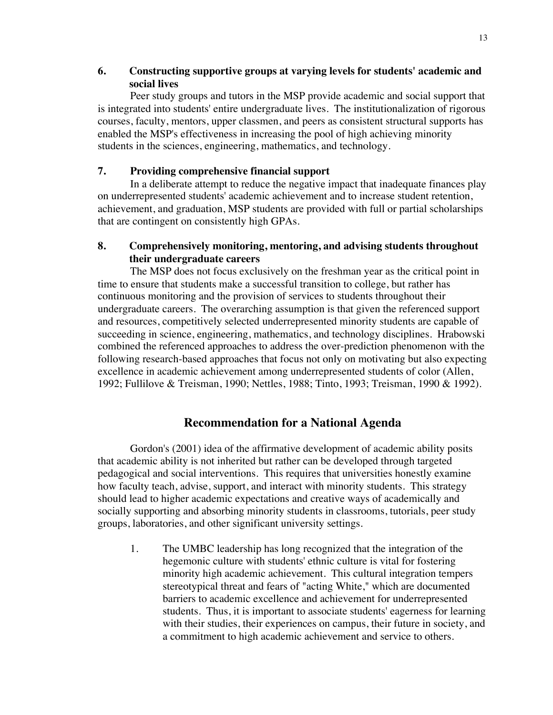### **6. Constructing supportive groups at varying levels for students' academic and social lives**

Peer study groups and tutors in the MSP provide academic and social support that is integrated into students' entire undergraduate lives. The institutionalization of rigorous courses, faculty, mentors, upper classmen, and peers as consistent structural supports has enabled the MSP's effectiveness in increasing the pool of high achieving minority students in the sciences, engineering, mathematics, and technology.

#### **7. Providing comprehensive financial support**

In a deliberate attempt to reduce the negative impact that inadequate finances play on underrepresented students' academic achievement and to increase student retention, achievement, and graduation, MSP students are provided with full or partial scholarships that are contingent on consistently high GPAs.

#### **8. Comprehensively monitoring, mentoring, and advising students throughout their undergraduate careers**

The MSP does not focus exclusively on the freshman year as the critical point in time to ensure that students make a successful transition to college, but rather has continuous monitoring and the provision of services to students throughout their undergraduate careers. The overarching assumption is that given the referenced support and resources, competitively selected underrepresented minority students are capable of succeeding in science, engineering, mathematics, and technology disciplines. Hrabowski combined the referenced approaches to address the over-prediction phenomenon with the following research-based approaches that focus not only on motivating but also expecting excellence in academic achievement among underrepresented students of color (Allen, 1992; Fullilove & Treisman, 1990; Nettles, 1988; Tinto, 1993; Treisman, 1990 & 1992).

## **Recommendation for a National Agenda**

Gordon's (2001) idea of the affirmative development of academic ability posits that academic ability is not inherited but rather can be developed through targeted pedagogical and social interventions. This requires that universities honestly examine how faculty teach, advise, support, and interact with minority students. This strategy should lead to higher academic expectations and creative ways of academically and socially supporting and absorbing minority students in classrooms, tutorials, peer study groups, laboratories, and other significant university settings.

1. The UMBC leadership has long recognized that the integration of the hegemonic culture with students' ethnic culture is vital for fostering minority high academic achievement. This cultural integration tempers stereotypical threat and fears of "acting White," which are documented barriers to academic excellence and achievement for underrepresented students. Thus, it is important to associate students' eagerness for learning with their studies, their experiences on campus, their future in society, and a commitment to high academic achievement and service to others.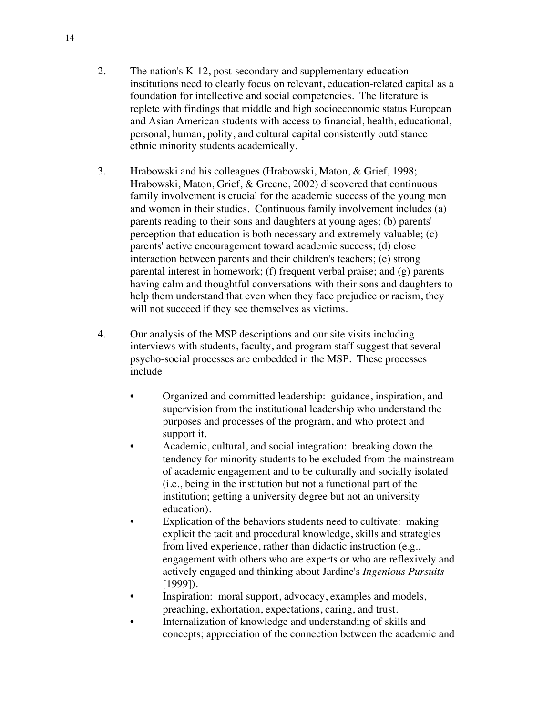- 2. The nation's K-12, post-secondary and supplementary education institutions need to clearly focus on relevant, education-related capital as a foundation for intellective and social competencies. The literature is replete with findings that middle and high socioeconomic status European and Asian American students with access to financial, health, educational, personal, human, polity, and cultural capital consistently outdistance ethnic minority students academically.
- 3. Hrabowski and his colleagues (Hrabowski, Maton, & Grief, 1998; Hrabowski, Maton, Grief, & Greene, 2002) discovered that continuous family involvement is crucial for the academic success of the young men and women in their studies. Continuous family involvement includes (a) parents reading to their sons and daughters at young ages; (b) parents' perception that education is both necessary and extremely valuable; (c) parents' active encouragement toward academic success; (d) close interaction between parents and their children's teachers; (e) strong parental interest in homework; (f) frequent verbal praise; and (g) parents having calm and thoughtful conversations with their sons and daughters to help them understand that even when they face prejudice or racism, they will not succeed if they see themselves as victims.
- 4. Our analysis of the MSP descriptions and our site visits including interviews with students, faculty, and program staff suggest that several psycho-social processes are embedded in the MSP. These processes include
	- Organized and committed leadership: guidance, inspiration, and supervision from the institutional leadership who understand the purposes and processes of the program, and who protect and support it.
	- Academic, cultural, and social integration: breaking down the tendency for minority students to be excluded from the mainstream of academic engagement and to be culturally and socially isolated (i.e., being in the institution but not a functional part of the institution; getting a university degree but not an university education).
	- Explication of the behaviors students need to cultivate: making explicit the tacit and procedural knowledge, skills and strategies from lived experience, rather than didactic instruction (e.g., engagement with others who are experts or who are reflexively and actively engaged and thinking about Jardine's *Ingenious Pursuits* [1999]).
	- Inspiration: moral support, advocacy, examples and models, preaching, exhortation, expectations, caring, and trust.
	- Internalization of knowledge and understanding of skills and concepts; appreciation of the connection between the academic and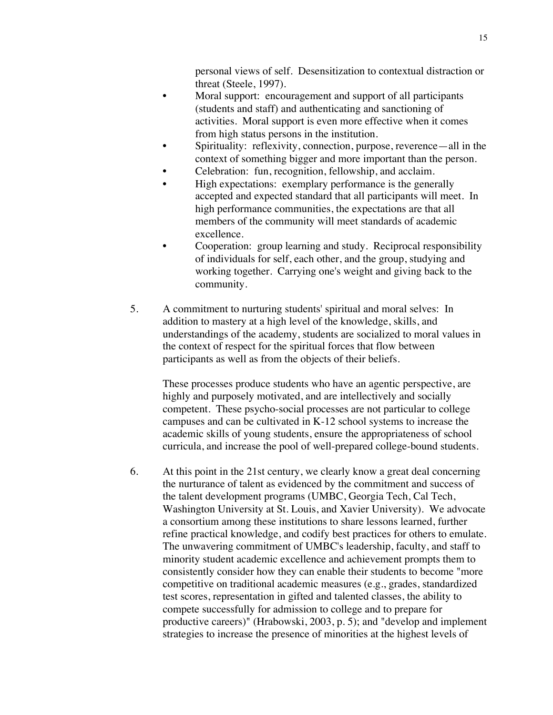personal views of self. Desensitization to contextual distraction or threat (Steele, 1997).

- Moral support: encouragement and support of all participants (students and staff) and authenticating and sanctioning of activities. Moral support is even more effective when it comes from high status persons in the institution.
- Spirituality: reflexivity, connection, purpose, reverence—all in the context of something bigger and more important than the person.
- Celebration: fun, recognition, fellowship, and acclaim.
- High expectations: exemplary performance is the generally accepted and expected standard that all participants will meet. In high performance communities, the expectations are that all members of the community will meet standards of academic excellence.
- Cooperation: group learning and study. Reciprocal responsibility of individuals for self, each other, and the group, studying and working together. Carrying one's weight and giving back to the community.
- 5. A commitment to nurturing students' spiritual and moral selves: In addition to mastery at a high level of the knowledge, skills, and understandings of the academy, students are socialized to moral values in the context of respect for the spiritual forces that flow between participants as well as from the objects of their beliefs.

These processes produce students who have an agentic perspective, are highly and purposely motivated, and are intellectively and socially competent. These psycho-social processes are not particular to college campuses and can be cultivated in K-12 school systems to increase the academic skills of young students, ensure the appropriateness of school curricula, and increase the pool of well-prepared college-bound students.

6. At this point in the 21st century, we clearly know a great deal concerning the nurturance of talent as evidenced by the commitment and success of the talent development programs (UMBC, Georgia Tech, Cal Tech, Washington University at St. Louis, and Xavier University). We advocate a consortium among these institutions to share lessons learned, further refine practical knowledge, and codify best practices for others to emulate. The unwavering commitment of UMBC's leadership, faculty, and staff to minority student academic excellence and achievement prompts them to consistently consider how they can enable their students to become "more competitive on traditional academic measures (e.g., grades, standardized test scores, representation in gifted and talented classes, the ability to compete successfully for admission to college and to prepare for productive careers)" (Hrabowski, 2003, p. 5); and "develop and implement strategies to increase the presence of minorities at the highest levels of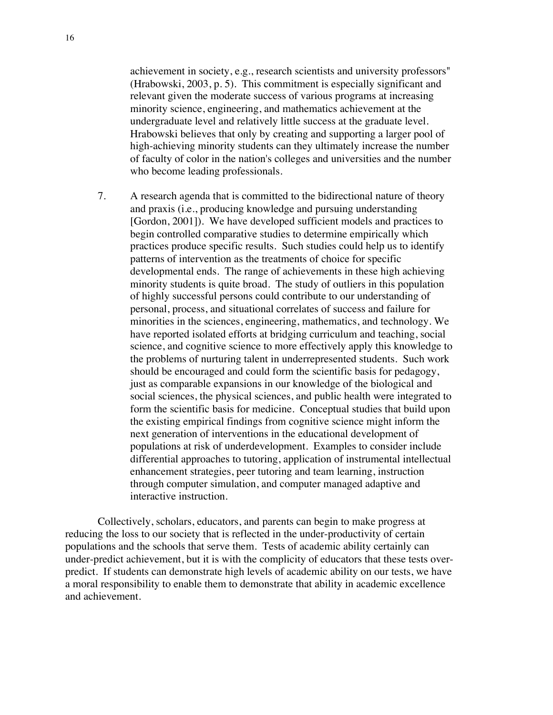achievement in society, e.g., research scientists and university professors" (Hrabowski, 2003, p. 5). This commitment is especially significant and relevant given the moderate success of various programs at increasing minority science, engineering, and mathematics achievement at the undergraduate level and relatively little success at the graduate level. Hrabowski believes that only by creating and supporting a larger pool of high-achieving minority students can they ultimately increase the number of faculty of color in the nation's colleges and universities and the number who become leading professionals.

7. A research agenda that is committed to the bidirectional nature of theory and praxis (i.e., producing knowledge and pursuing understanding [Gordon, 2001]). We have developed sufficient models and practices to begin controlled comparative studies to determine empirically which practices produce specific results. Such studies could help us to identify patterns of intervention as the treatments of choice for specific developmental ends. The range of achievements in these high achieving minority students is quite broad. The study of outliers in this population of highly successful persons could contribute to our understanding of personal, process, and situational correlates of success and failure for minorities in the sciences, engineering, mathematics, and technology. We have reported isolated efforts at bridging curriculum and teaching, social science, and cognitive science to more effectively apply this knowledge to the problems of nurturing talent in underrepresented students. Such work should be encouraged and could form the scientific basis for pedagogy, just as comparable expansions in our knowledge of the biological and social sciences, the physical sciences, and public health were integrated to form the scientific basis for medicine. Conceptual studies that build upon the existing empirical findings from cognitive science might inform the next generation of interventions in the educational development of populations at risk of underdevelopment. Examples to consider include differential approaches to tutoring, application of instrumental intellectual enhancement strategies, peer tutoring and team learning, instruction through computer simulation, and computer managed adaptive and interactive instruction.

Collectively, scholars, educators, and parents can begin to make progress at reducing the loss to our society that is reflected in the under-productivity of certain populations and the schools that serve them. Tests of academic ability certainly can under-predict achievement, but it is with the complicity of educators that these tests overpredict. If students can demonstrate high levels of academic ability on our tests, we have a moral responsibility to enable them to demonstrate that ability in academic excellence and achievement.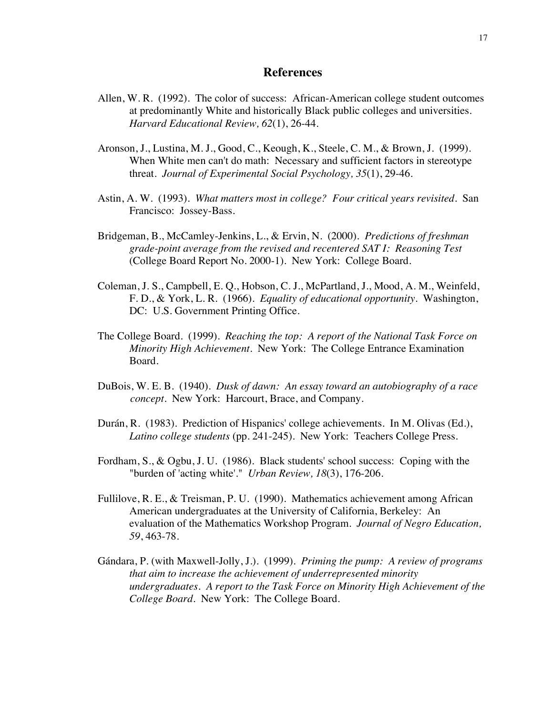#### **References**

- Allen, W. R. (1992). The color of success: African-American college student outcomes at predominantly White and historically Black public colleges and universities. *Harvard Educational Review, 62*(1), 26-44.
- Aronson, J., Lustina, M. J., Good, C., Keough, K., Steele, C. M., & Brown, J. (1999). When White men can't do math: Necessary and sufficient factors in stereotype threat. *Journal of Experimental Social Psychology, 35*(1), 29-46.
- Astin, A. W. (1993). *What matters most in college? Four critical years revisited*. San Francisco: Jossey-Bass.
- Bridgeman, B., McCamley-Jenkins, L., & Ervin, N. (2000). *Predictions of freshman grade-point average from the revised and recentered SAT I: Reasoning Test* (College Board Report No. 2000-1). New York: College Board.
- Coleman, J. S., Campbell, E. Q., Hobson, C. J., McPartland, J., Mood, A. M., Weinfeld, F. D., & York, L. R. (1966). *Equality of educational opportunity*. Washington, DC: U.S. Government Printing Office.
- The College Board. (1999). *Reaching the top: A report of the National Task Force on Minority High Achievement*. New York: The College Entrance Examination Board.
- DuBois, W. E. B. (1940). *Dusk of dawn: An essay toward an autobiography of a race concept.* New York: Harcourt, Brace, and Company.
- Durán, R. (1983). Prediction of Hispanics' college achievements. In M. Olivas (Ed.), *Latino college students* (pp. 241-245). New York: Teachers College Press.
- Fordham, S., & Ogbu, J. U. (1986). Black students' school success: Coping with the "burden of 'acting white'." *Urban Review, 18*(3), 176-206.
- Fullilove, R. E., & Treisman, P. U. (1990). Mathematics achievement among African American undergraduates at the University of California, Berkeley: An evaluation of the Mathematics Workshop Program. *Journal of Negro Education, 59*, 463-78.
- Gándara, P. (with Maxwell-Jolly, J.). (1999). *Priming the pump: A review of programs that aim to increase the achievement of underrepresented minority undergraduates. A report to the Task Force on Minority High Achievement of the College Board*. New York: The College Board.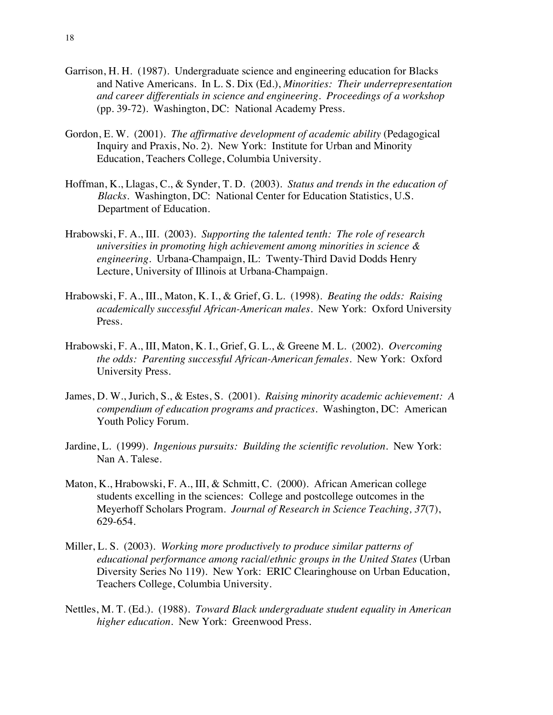- Garrison, H. H. (1987). Undergraduate science and engineering education for Blacks and Native Americans. In L. S. Dix (Ed.), *Minorities: Their underrepresentation and career differentials in science and engineering. Proceedings of a workshop* (pp. 39-72). Washington, DC: National Academy Press.
- Gordon, E. W. (2001). *The affirmative development of academic ability* (Pedagogical Inquiry and Praxis, No. 2). New York: Institute for Urban and Minority Education, Teachers College, Columbia University.
- Hoffman, K., Llagas, C., & Synder, T. D. (2003). *Status and trends in the education of Blacks.* Washington, DC: National Center for Education Statistics, U.S. Department of Education.
- Hrabowski, F. A., III. (2003). *Supporting the talented tenth: The role of research universities in promoting high achievement among minorities in science & engineering.* Urbana-Champaign, IL: Twenty-Third David Dodds Henry Lecture, University of Illinois at Urbana-Champaign.
- Hrabowski, F. A., III., Maton, K. I., & Grief, G. L. (1998). *Beating the odds: Raising academically successful African-American males.* New York: Oxford University Press.
- Hrabowski, F. A., III, Maton, K. I., Grief, G. L., & Greene M. L. (2002). *Overcoming the odds: Parenting successful African-American females.* New York: Oxford University Press.
- James, D. W., Jurich, S., & Estes, S. (2001). *Raising minority academic achievement: A compendium of education programs and practices*. Washington, DC: American Youth Policy Forum.
- Jardine, L. (1999). *Ingenious pursuits: Building the scientific revolution.* New York: Nan A. Talese.
- Maton, K., Hrabowski, F. A., III, & Schmitt, C. (2000). African American college students excelling in the sciences: College and postcollege outcomes in the Meyerhoff Scholars Program. *Journal of Research in Science Teaching, 37*(7), 629-654.
- Miller, L. S. (2003). *Working more productively to produce similar patterns of educational performance among racial/ethnic groups in the United States* (Urban Diversity Series No 119). New York: ERIC Clearinghouse on Urban Education, Teachers College, Columbia University.
- Nettles, M. T. (Ed.). (1988). *Toward Black undergraduate student equality in American higher education*. New York: Greenwood Press.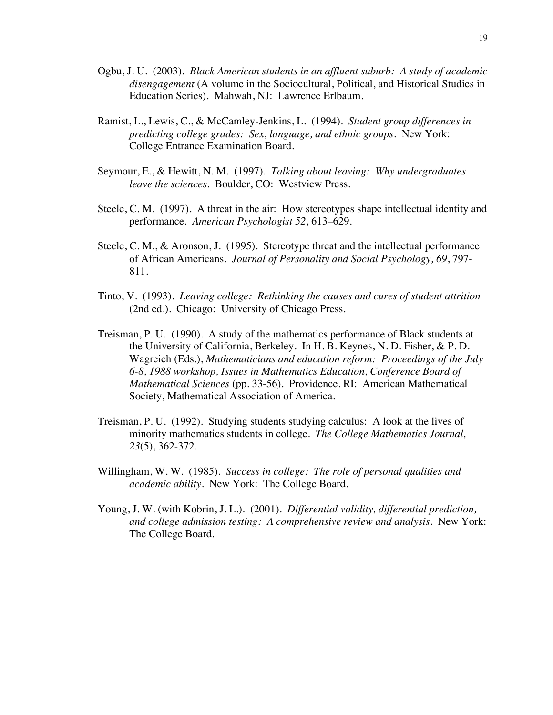- Ogbu, J. U. (2003). *Black American students in an affluent suburb: A study of academic disengagement* (A volume in the Sociocultural, Political, and Historical Studies in Education Series). Mahwah, NJ: Lawrence Erlbaum.
- Ramist, L., Lewis, C., & McCamley-Jenkins, L. (1994). *Student group differences in predicting college grades: Sex, language, and ethnic groups*. New York: College Entrance Examination Board.
- Seymour, E., & Hewitt, N. M. (1997). *Talking about leaving: Why undergraduates leave the sciences*. Boulder, CO: Westview Press.
- Steele, C. M. (1997). A threat in the air: How stereotypes shape intellectual identity and performance. *American Psychologist 52*, 613–629.
- Steele, C. M., & Aronson, J. (1995). Stereotype threat and the intellectual performance of African Americans. *Journal of Personality and Social Psychology, 69*, 797- 811.
- Tinto, V. (1993). *Leaving college: Rethinking the causes and cures of student attrition* (2nd ed.). Chicago: University of Chicago Press.
- Treisman, P. U. (1990). A study of the mathematics performance of Black students at the University of California, Berkeley. In H. B. Keynes, N. D. Fisher, & P. D. Wagreich (Eds.), *Mathematicians and education reform: Proceedings of the July 6-8, 1988 workshop, Issues in Mathematics Education, Conference Board of Mathematical Sciences* (pp. 33-56). Providence, RI: American Mathematical Society, Mathematical Association of America.
- Treisman, P. U. (1992). Studying students studying calculus: A look at the lives of minority mathematics students in college. *The College Mathematics Journal, 23*(5), 362-372.
- Willingham, W. W. (1985). *Success in college: The role of personal qualities and academic ability*. New York: The College Board.
- Young, J. W. (with Kobrin, J. L.). (2001). *Differential validity, differential prediction, and college admission testing: A comprehensive review and analysis*. New York: The College Board.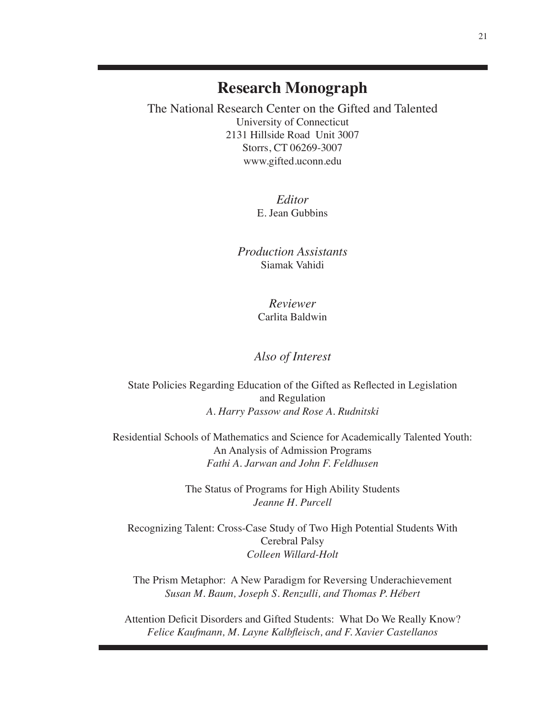# **Research Monograph**

The National Research Center on the Gifted and Talented University of Connecticut 2131 Hillside Road Unit 3007 Storrs, CT 06269-3007 www.gifted.uconn.edu

> *Editor* E. Jean Gubbins

*Production Assistants* Siamak Vahidi

> *Reviewer* Carlita Baldwin

*Also of Interest*

State Policies Regarding Education of the Gifted as Reflected in Legislation and Regulation *A. Harry Passow and Rose A. Rudnitski*

Residential Schools of Mathematics and Science for Academically Talented Youth: An Analysis of Admission Programs *Fathi A. Jarwan and John F. Feldhusen*

> The Status of Programs for High Ability Students *Jeanne H. Purcell*

Recognizing Talent: Cross-Case Study of Two High Potential Students With Cerebral Palsy *Colleen Willard-Holt*

The Prism Metaphor: A New Paradigm for Reversing Underachievement *Susan M. Baum, Joseph S. Renzulli, and Thomas P. Hébert*

Attention Deficit Disorders and Gifted Students: What Do We Really Know? *Felice Kaufmann, M. Layne Kalbfleisch, and F. Xavier Castellanos*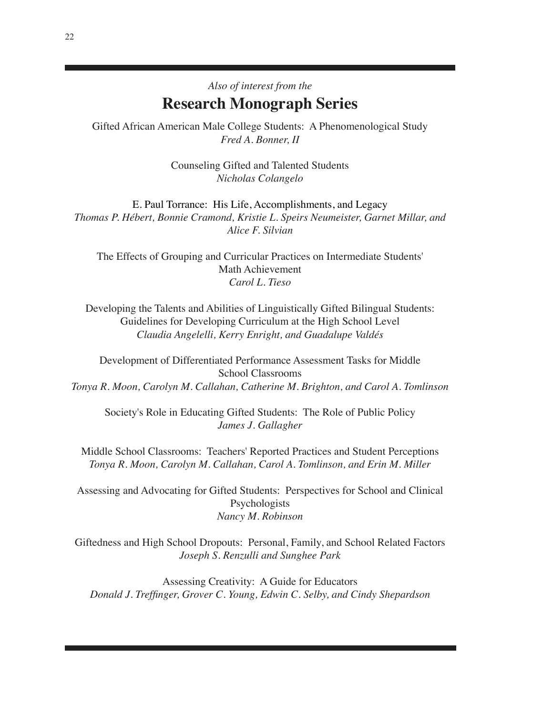# *Also of interest from the* **Research Monograph Series**

Gifted African American Male College Students: A Phenomenological Study *Fred A. Bonner, II*

> Counseling Gifted and Talented Students *Nicholas Colangelo*

E. Paul Torrance: His Life, Accomplishments, and Legacy *Thomas P. Hébert, Bonnie Cramond, Kristie L. Speirs Neumeister, Garnet Millar, and Alice F. Silvian*

The Effects of Grouping and Curricular Practices on Intermediate Students' Math Achievement *Carol L. Tieso*

Developing the Talents and Abilities of Linguistically Gifted Bilingual Students: Guidelines for Developing Curriculum at the High School Level *Claudia Angelelli, Kerry Enright, and Guadalupe Valdés*

Development of Differentiated Performance Assessment Tasks for Middle School Classrooms *Tonya R. Moon, Carolyn M. Callahan, Catherine M. Brighton, and Carol A. Tomlinson*

Society's Role in Educating Gifted Students: The Role of Public Policy *James J. Gallagher*

Middle School Classrooms: Teachers' Reported Practices and Student Perceptions *Tonya R. Moon, Carolyn M. Callahan, Carol A. Tomlinson, and Erin M. Miller*

Assessing and Advocating for Gifted Students: Perspectives for School and Clinical Psychologists *Nancy M. Robinson*

Giftedness and High School Dropouts: Personal, Family, and School Related Factors *Joseph S. Renzulli and Sunghee Park*

Assessing Creativity: A Guide for Educators *Donald J. Treffinger, Grover C. Young, Edwin C. Selby, and Cindy Shepardson*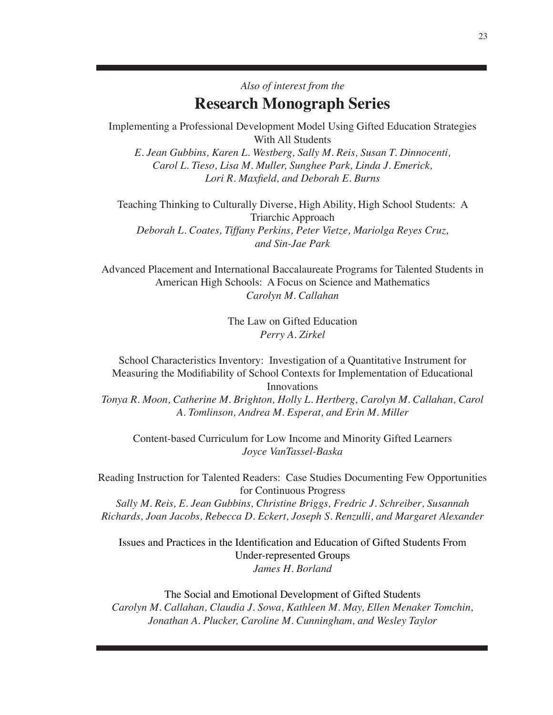# *Also of interest from the* **Research Monograph Series**

Implementing a Professional Development Model Using Gifted Education Strategies With All Students

*E. Jean Gubbins, Karen L. Westberg, Sally M. Reis, Susan T. Dinnocenti, Carol L. Tieso, Lisa M. Muller, Sunghee Park, Linda J. Emerick, Lori R. Maxfield, and Deborah E. Burns*

Teaching Thinking to Culturally Diverse, High Ability, High School Students: A Triarchic Approach *Deborah L. Coates, Tiffany Perkins, Peter Vietze, Mariolga Reyes Cruz, and Sin-Jae Park*

Advanced Placement and International Baccalaureate Programs for Talented Students in American High Schools: A Focus on Science and Mathematics *Carolyn M. Callahan*

> The Law on Gifted Education *Perry A. Zirkel*

School Characteristics Inventory: Investigation of a Quantitative Instrument for Measuring the Modifiability of School Contexts for Implementation of Educational Innovations

*Tonya R. Moon, Catherine M. Brighton, Holly L. Hertberg, Carolyn M. Callahan, Carol A. Tomlinson, Andrea M. Esperat, and Erin M. Miller*

Content-based Curriculum for Low Income and Minority Gifted Learners *Joyce VanTassel-Baska*

Reading Instruction for Talented Readers: Case Studies Documenting Few Opportunities for Continuous Progress

*Sally M. Reis, E. Jean Gubbins, Christine Briggs, Fredric J. Schreiber, Susannah Richards, Joan Jacobs, Rebecca D. Eckert, Joseph S. Renzulli, and Margaret Alexander*

Issues and Practices in the Identification and Education of Gifted Students From Under-represented Groups *James H. Borland*

The Social and Emotional Development of Gifted Students *Carolyn M. Callahan, Claudia J. Sowa, Kathleen M. May, Ellen Menaker Tomchin, Jonathan A. Plucker, Caroline M. Cunningham, and Wesley Taylor*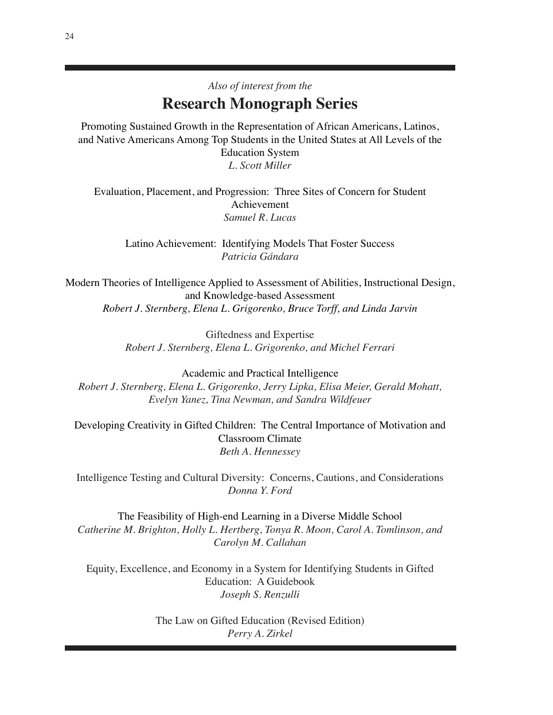# *Also of interest from the* **Research Monograph Series**

Promoting Sustained Growth in the Representation of African Americans, Latinos, and Native Americans Among Top Students in the United States at All Levels of the Education System *L. Scott Miller*

Evaluation, Placement, and Progression: Three Sites of Concern for Student Achievement *Samuel R. Lucas*

Latino Achievement: Identifying Models That Foster Success *Patricia Gándara*

Modern Theories of Intelligence Applied to Assessment of Abilities, Instructional Design, and Knowledge-based Assessment *Robert J. Sternberg, Elena L. Grigorenko, Bruce Torff, and Linda Jarvin*

> Giftedness and Expertise *Robert J. Sternberg, Elena L. Grigorenko, and Michel Ferrari*

Academic and Practical Intelligence *Robert J. Sternberg, Elena L. Grigorenko, Jerry Lipka, Elisa Meier, Gerald Mohatt, Evelyn Yanez, Tina Newman, and Sandra Wildfeuer*

Developing Creativity in Gifted Children: The Central Importance of Motivation and Classroom Climate *Beth A. Hennessey*

Intelligence Testing and Cultural Diversity: Concerns, Cautions, and Considerations *Donna Y. Ford*

The Feasibility of High-end Learning in a Diverse Middle School *Catherine M. Brighton, Holly L. Hertberg, Tonya R. Moon, Carol A. Tomlinson, and Carolyn M. Callahan*

Equity, Excellence, and Economy in a System for Identifying Students in Gifted Education: A Guidebook *Joseph S. Renzulli*

> The Law on Gifted Education (Revised Edition) *Perry A. Zirkel*